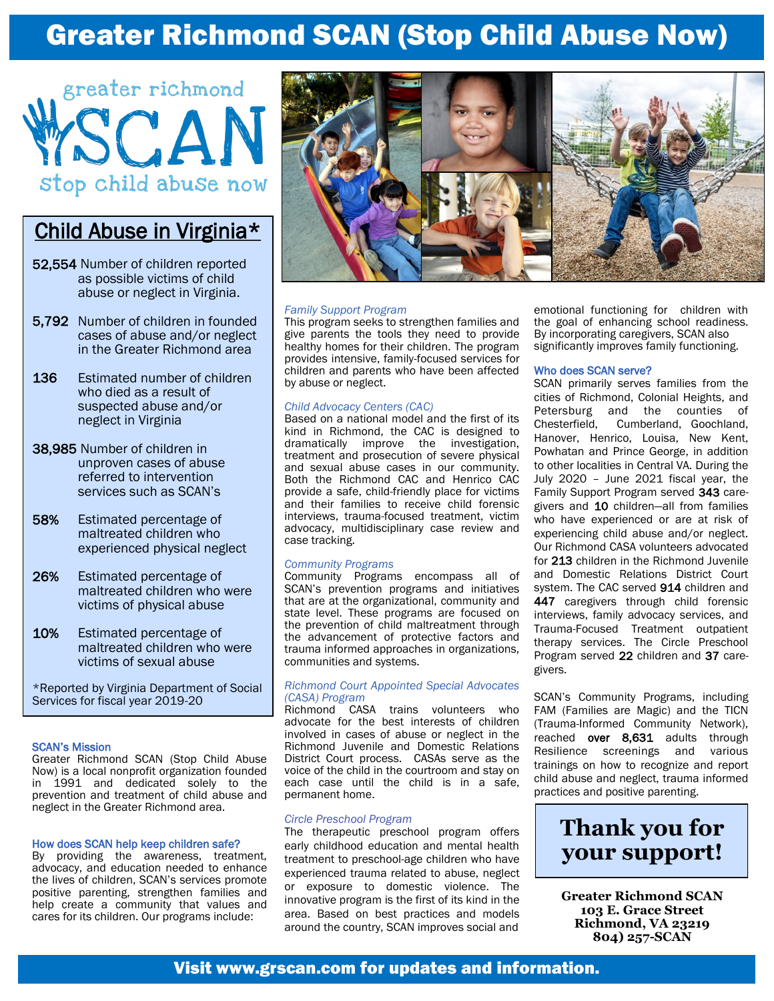# Greater Richmond SCAN (Stop Child Abuse Now)



## Child Abuse in Virginia\*

- 52,554 Number of children reported as possible victims of child abuse or neglect in Virginia.
- 5,792 Number of children in founded cases of abuse and/or neglect in the Greater Richmond area
- 136 Estimated number of children who died as a result of suspected abuse and/or neglect in Virginia
- 38,985 Number of children in unproven cases of abuse referred to intervention services such as SCAN's
- 58% Estimated percentage of maltreated children who experienced physical neglect
- 26% Estimated percentage of maltreated children who were victims of physical abuse
- 10% Estimated percentage of maltreated children who were victims of sexual abuse

\*Reported by Virginia Department of Social Services for fiscal year 2019-20

### SCAN's Mission

Greater Richmond SCAN (Stop Child Abuse Now) is a local nonprofit organization founded in 1991 and dedicated solely to the prevention and treatment of child abuse and neglect in the Greater Richmond area.

#### How does SCAN help keep children safe?

By providing the awareness, treatment, advocacy, and education needed to enhance the lives of children, SCAN's services promote positive parenting, strengthen families and help create a community that values and cares for its children. Our programs include:



### *Family Support Program*

This program seeks to strengthen families and give parents the tools they need to provide healthy homes for their children. The program provides intensive, family-focused services for children and parents who have been affected by abuse or neglect.

#### *Child Advocacy Centers (CAC)*

Based on a national model and the first of its kind in Richmond, the CAC is designed to dramatically improve the investigation, treatment and prosecution of severe physical and sexual abuse cases in our community. Both the Richmond CAC and Henrico CAC provide a safe, child-friendly place for victims and their families to receive child forensic interviews, trauma-focused treatment, victim advocacy, multidisciplinary case review and case tracking.

### *Community Programs*

Community Programs encompass all of SCAN's prevention programs and initiatives that are at the organizational, community and state level. These programs are focused on the prevention of child maltreatment through the advancement of protective factors and trauma informed approaches in organizations, communities and systems.

### *Richmond Court Appointed Special Advocates (CASA) Program*

Richmond CASA trains volunteers who advocate for the best interests of children involved in cases of abuse or neglect in the Richmond Juvenile and Domestic Relations District Court process. CASAs serve as the voice of the child in the courtroom and stay on each case until the child is in a safe, permanent home.

### *Circle Preschool Program*

The therapeutic preschool program offers early childhood education and mental health treatment to preschool-age children who have experienced trauma related to abuse, neglect or exposure to domestic violence. The innovative program is the first of its kind in the area. Based on best practices and models around the country, SCAN improves social and

emotional functioning for children with the goal of enhancing school readiness. By incorporating caregivers, SCAN also significantly improves family functioning.

### Who does SCAN serve?

SCAN primarily serves families from the cities of Richmond, Colonial Heights, and Petersburg and the counties of Chesterfield, Cumberland, Goochland, Hanover, Henrico, Louisa, New Kent, Powhatan and Prince George, in addition to other localities in Central VA. During the July 2020 – June 2021 fiscal year, the Family Support Program served 343 caregivers and 10 children—all from families who have experienced or are at risk of experiencing child abuse and/or neglect. Our Richmond CASA volunteers advocated for 213 children in the Richmond Juvenile and Domestic Relations District Court system. The CAC served 914 children and 447 caregivers through child forensic interviews, family advocacy services, and Trauma-Focused Treatment outpatient therapy services. The Circle Preschool Program served 22 children and 37 caregivers.

SCAN's Community Programs, including FAM (Families are Magic) and the TICN (Trauma-Informed Community Network), reached over 8,631 adults through Resilience screenings and various trainings on how to recognize and report child abuse and neglect, trauma informed practices and positive parenting.

## **Thank you for your support!**

**Greater Richmond SCAN 103 E. Grace Street Richmond, VA 23219 804) 257-SCAN**

## Visit www.grscan.com for updates and information.